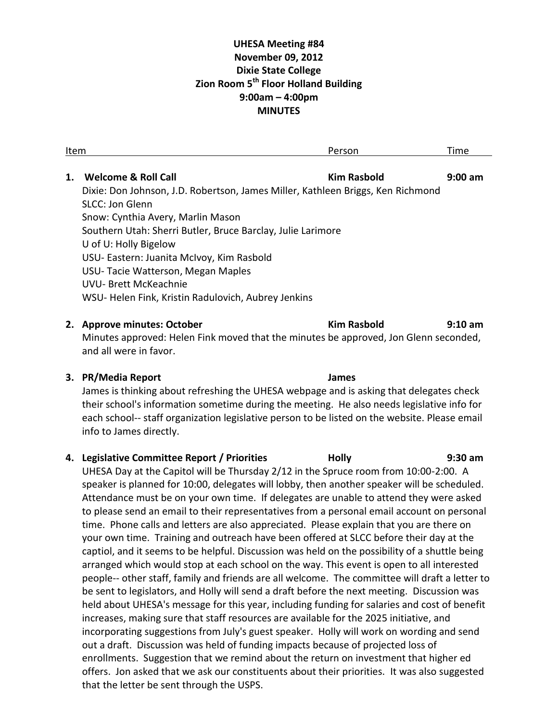# **UHESA Meeting #84 November 09, 2012 Dixie State College Zion Room 5th Floor Holland Building 9:00am – 4:00pm MINUTES**

| Item |                                                                                 | Person             | Time              |
|------|---------------------------------------------------------------------------------|--------------------|-------------------|
|      |                                                                                 |                    |                   |
| 1.   | <b>Welcome &amp; Roll Call</b>                                                  | <b>Kim Rasbold</b> | $9:00$ am         |
|      | Dixie: Don Johnson, J.D. Robertson, James Miller, Kathleen Briggs, Ken Richmond |                    |                   |
|      | <b>SLCC: Jon Glenn</b>                                                          |                    |                   |
|      | Snow: Cynthia Avery, Marlin Mason                                               |                    |                   |
|      | Southern Utah: Sherri Butler, Bruce Barclay, Julie Larimore                     |                    |                   |
|      | U of U: Holly Bigelow                                                           |                    |                   |
|      | USU- Eastern: Juanita McIvoy, Kim Rasbold                                       |                    |                   |
|      | USU-Tacie Watterson, Megan Maples                                               |                    |                   |
|      | UVU- Brett McKeachnie                                                           |                    |                   |
|      | WSU-Helen Fink, Kristin Radulovich, Aubrey Jenkins                              |                    |                   |
|      |                                                                                 |                    |                   |
|      | 2. Approve minutes: October                                                     | Kim Rasbold        | $9:10 \text{ am}$ |

Minutes approved: Helen Fink moved that the minutes be approved, Jon Glenn seconded, and all were in favor.

### **3. PR/Media Report James**

James is thinking about refreshing the UHESA webpage and is asking that delegates check their school's information sometime during the meeting. He also needs legislative info for each school-- staff organization legislative person to be listed on the website. Please email info to James directly.

## **4. Legislative Committee Report / Priorities Holly 9:30 am**

UHESA Day at the Capitol will be Thursday 2/12 in the Spruce room from 10:00-2:00. A speaker is planned for 10:00, delegates will lobby, then another speaker will be scheduled. Attendance must be on your own time. If delegates are unable to attend they were asked to please send an email to their representatives from a personal email account on personal time. Phone calls and letters are also appreciated. Please explain that you are there on your own time. Training and outreach have been offered at SLCC before their day at the captiol, and it seems to be helpful. Discussion was held on the possibility of a shuttle being arranged which would stop at each school on the way. This event is open to all interested people-- other staff, family and friends are all welcome. The committee will draft a letter to be sent to legislators, and Holly will send a draft before the next meeting. Discussion was held about UHESA's message for this year, including funding for salaries and cost of benefit increases, making sure that staff resources are available for the 2025 initiative, and incorporating suggestions from July's guest speaker. Holly will work on wording and send out a draft. Discussion was held of funding impacts because of projected loss of enrollments. Suggestion that we remind about the return on investment that higher ed offers. Jon asked that we ask our constituents about their priorities. It was also suggested that the letter be sent through the USPS.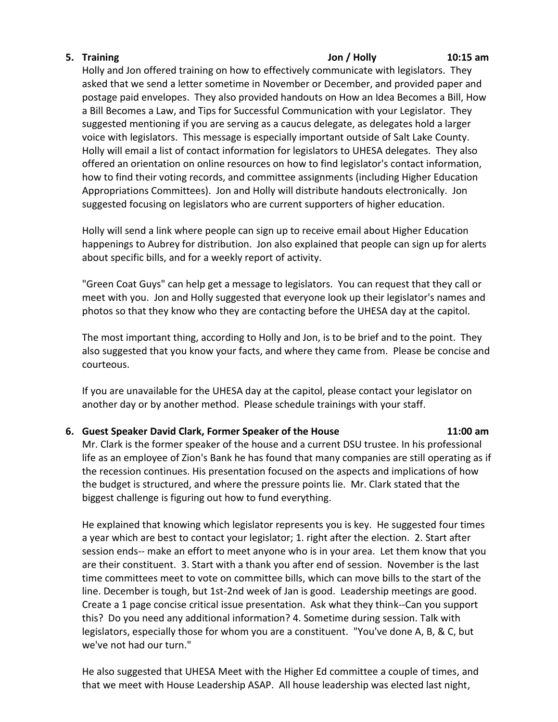# **5. Training Jon / Holly 10:15 am**

Holly and Jon offered training on how to effectively communicate with legislators. They asked that we send a letter sometime in November or December, and provided paper and postage paid envelopes. They also provided handouts on How an Idea Becomes a Bill, How a Bill Becomes a Law, and Tips for Successful Communication with your Legislator. They suggested mentioning if you are serving as a caucus delegate, as delegates hold a larger voice with legislators. This message is especially important outside of Salt Lake County. Holly will email a list of contact information for legislators to UHESA delegates. They also offered an orientation on online resources on how to find legislator's contact information, how to find their voting records, and committee assignments (including Higher Education Appropriations Committees). Jon and Holly will distribute handouts electronically. Jon suggested focusing on legislators who are current supporters of higher education.

Holly will send a link where people can sign up to receive email about Higher Education happenings to Aubrey for distribution. Jon also explained that people can sign up for alerts about specific bills, and for a weekly report of activity.

"Green Coat Guys" can help get a message to legislators. You can request that they call or meet with you. Jon and Holly suggested that everyone look up their legislator's names and photos so that they know who they are contacting before the UHESA day at the capitol.

The most important thing, according to Holly and Jon, is to be brief and to the point. They also suggested that you know your facts, and where they came from. Please be concise and courteous.

If you are unavailable for the UHESA day at the capitol, please contact your legislator on another day or by another method. Please schedule trainings with your staff.

## **6. Guest Speaker David Clark, Former Speaker of the House 11:00 am**

Mr. Clark is the former speaker of the house and a current DSU trustee. In his professional life as an employee of Zion's Bank he has found that many companies are still operating as if the recession continues. His presentation focused on the aspects and implications of how the budget is structured, and where the pressure points lie. Mr. Clark stated that the biggest challenge is figuring out how to fund everything.

He explained that knowing which legislator represents you is key. He suggested four times a year which are best to contact your legislator; 1. right after the election. 2. Start after session ends-- make an effort to meet anyone who is in your area. Let them know that you are their constituent. 3. Start with a thank you after end of session. November is the last time committees meet to vote on committee bills, which can move bills to the start of the line. December is tough, but 1st-2nd week of Jan is good. Leadership meetings are good. Create a 1 page concise critical issue presentation. Ask what they think--Can you support this? Do you need any additional information? 4. Sometime during session. Talk with legislators, especially those for whom you are a constituent. "You've done A, B, & C, but we've not had our turn."

He also suggested that UHESA Meet with the Higher Ed committee a couple of times, and that we meet with House Leadership ASAP. All house leadership was elected last night,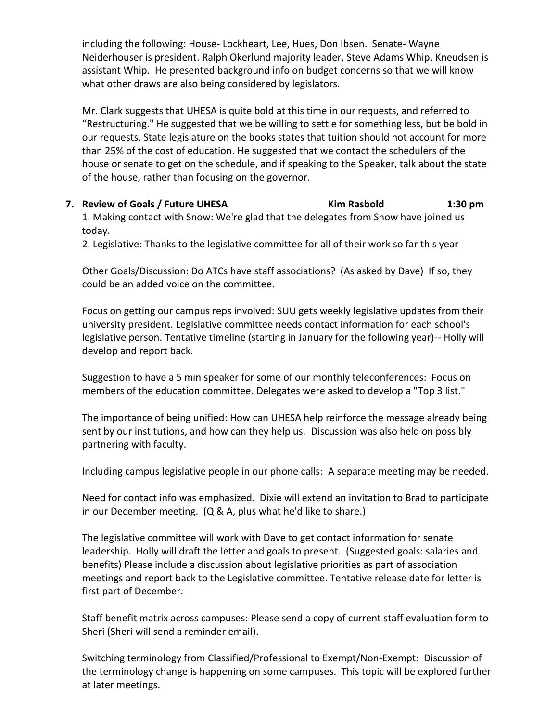including the following: House- Lockheart, Lee, Hues, Don Ibsen. Senate- Wayne Neiderhouser is president. Ralph Okerlund majority leader, Steve Adams Whip, Kneudsen is assistant Whip. He presented background info on budget concerns so that we will know what other draws are also being considered by legislators.

Mr. Clark suggests that UHESA is quite bold at this time in our requests, and referred to "Restructuring." He suggested that we be willing to settle for something less, but be bold in our requests. State legislature on the books states that tuition should not account for more than 25% of the cost of education. He suggested that we contact the schedulers of the house or senate to get on the schedule, and if speaking to the Speaker, talk about the state of the house, rather than focusing on the governor.

**7. Review of Goals / Future UHESA Kim Rasbold 1:30 pm**

1. Making contact with Snow: We're glad that the delegates from Snow have joined us today.

2. Legislative: Thanks to the legislative committee for all of their work so far this year

Other Goals/Discussion: Do ATCs have staff associations? (As asked by Dave) If so, they could be an added voice on the committee.

Focus on getting our campus reps involved: SUU gets weekly legislative updates from their university president. Legislative committee needs contact information for each school's legislative person. Tentative timeline (starting in January for the following year)-- Holly will develop and report back.

Suggestion to have a 5 min speaker for some of our monthly teleconferences: Focus on members of the education committee. Delegates were asked to develop a "Top 3 list."

The importance of being unified: How can UHESA help reinforce the message already being sent by our institutions, and how can they help us. Discussion was also held on possibly partnering with faculty.

Including campus legislative people in our phone calls: A separate meeting may be needed.

Need for contact info was emphasized. Dixie will extend an invitation to Brad to participate in our December meeting. (Q & A, plus what he'd like to share.)

The legislative committee will work with Dave to get contact information for senate leadership. Holly will draft the letter and goals to present. (Suggested goals: salaries and benefits) Please include a discussion about legislative priorities as part of association meetings and report back to the Legislative committee. Tentative release date for letter is first part of December.

Staff benefit matrix across campuses: Please send a copy of current staff evaluation form to Sheri (Sheri will send a reminder email).

Switching terminology from Classified/Professional to Exempt/Non-Exempt: Discussion of the terminology change is happening on some campuses. This topic will be explored further at later meetings.